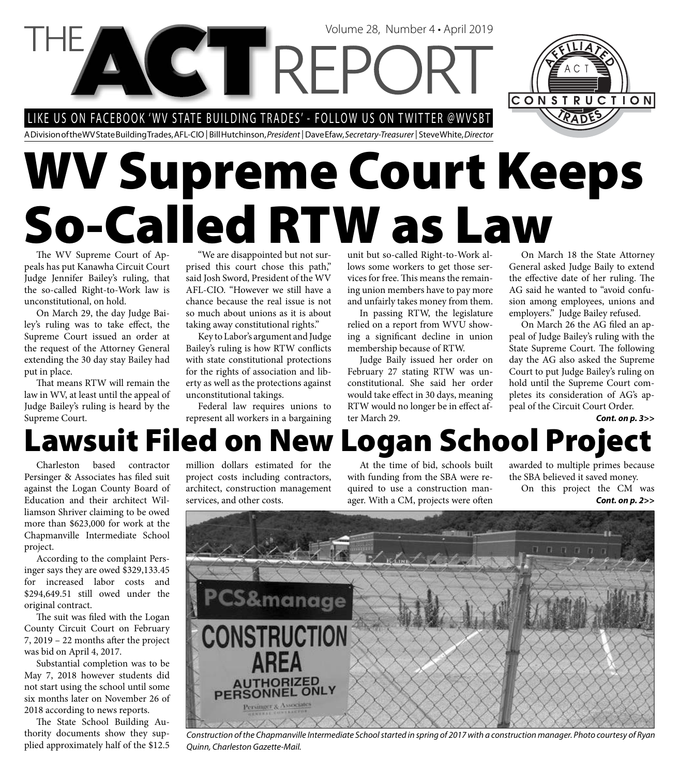CTREP LIKE US ON FACEBOOK 'WV STATE BUILDING TRADES' - FOLLOW US ON TWITTER @WVSBT



A Division of the WV State Building Trades, AFL-CIO | Bill Hutchinson, *President* | Dave Efaw, *Secretary-Treasurer* | Steve White, *Director*

# **WV Supreme Court Keeps So-Called RTW as Law**

The WV Supreme Court of Appeals has put Kanawha Circuit Court Judge Jennifer Bailey's ruling, that the so-called Right-to-Work law is unconstitutional, on hold.

On March 29, the day Judge Bailey's ruling was to take effect, the Supreme Court issued an order at the request of the Attorney General extending the 30 day stay Bailey had put in place.

That means RTW will remain the law in WV, at least until the appeal of Judge Bailey's ruling is heard by the Supreme Court.

"We are disappointed but not surprised this court chose this path," said Josh Sword, President of the WV AFL-CIO. "However we still have a chance because the real issue is not so much about unions as it is about taking away constitutional rights."

Key to Labor's argument and Judge Bailey's ruling is how RTW conflicts with state constitutional protections for the rights of association and liberty as well as the protections against unconstitutional takings.

Federal law requires unions to represent all workers in a bargaining unit but so-called Right-to-Work allows some workers to get those services for free. This means the remaining union members have to pay more and unfairly takes money from them.

Volume 28, Number 4 • April 2019

In passing RTW, the legislature relied on a report from WVU showing a significant decline in union membership because of RTW.

Judge Baily issued her order on February 27 stating RTW was unconstitutional. She said her order would take effect in 30 days, meaning RTW would no longer be in effect after March 29.

On March 18 the State Attorney General asked Judge Baily to extend the effective date of her ruling. The AG said he wanted to "avoid confusion among employees, unions and employers." Judge Bailey refused.

On March 26 the AG filed an appeal of Judge Bailey's ruling with the State Supreme Court. The following day the AG also asked the Supreme Court to put Judge Bailey's ruling on hold until the Supreme Court completes its consideration of AG's appeal of the Circuit Court Order.

#### **Lawsuit Filed on New Logan School Project** *Cont. on p. 3>>*

Charleston based contractor Persinger & Associates has filed suit against the Logan County Board of Education and their architect Williamson Shriver claiming to be owed more than \$623,000 for work at the Chapmanville Intermediate School project.

According to the complaint Persinger says they are owed \$329,133.45 for increased labor costs and \$294,649.51 still owed under the original contract.

The suit was filed with the Logan County Circuit Court on February  $7, 2019 - 22$  months after the project was bid on April 4, 2017.

Substantial completion was to be May 7, 2018 however students did not start using the school until some six months later on November 26 of 2018 according to news reports.

The State School Building Authority documents show they supplied approximately half of the \$12.5 million dollars estimated for the project costs including contractors, architect, construction management services, and other costs.

At the time of bid, schools built with funding from the SBA were required to use a construction manager. With a CM, projects were often

awarded to multiple primes because the SBA believed it saved money.

On this project the CM was *Cont. on p. 2>>*



*Construction of the Chapmanville Intermediate School started in spring of 2017 with a construction manager. Photo courtesy of Ryan Quinn, Charleston Gazette-Mail.*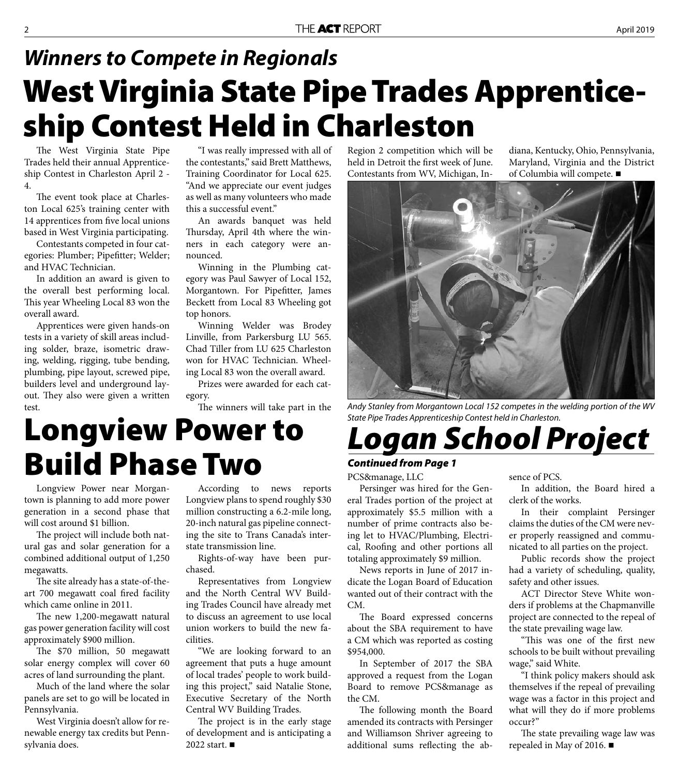### **West Virginia State Pipe Trades Apprenticeship Contest Held in Charleston** *Winners to Compete in Regionals*

The West Virginia State Pipe Trades held their annual Apprenticeship Contest in Charleston April 2 - 4.

The event took place at Charleston Local 625's training center with 14 apprentices from five local unions based in West Virginia participating.

Contestants competed in four categories: Plumber; Pipefitter; Welder; and HVAC Technician.

In addition an award is given to the overall best performing local. This year Wheeling Local 83 won the overall award.

Apprentices were given hands-on tests in a variety of skill areas including solder, braze, isometric drawing, welding, rigging, tube bending, plumbing, pipe layout, screwed pipe, builders level and underground layout. They also were given a written test.

"I was really impressed with all of the contestants," said Brett Matthews, Training Coordinator for Local 625. "And we appreciate our event judges as well as many volunteers who made this a successful event."

An awards banquet was held Thursday, April 4th where the winners in each category were announced.

Winning in the Plumbing category was Paul Sawyer of Local 152, Morgantown. For Pipefitter, James Beckett from Local 83 Wheeling got top honors.

Winning Welder was Brodey Linville, from Parkersburg LU 565. Chad Tiller from LU 625 Charleston won for HVAC Technician. Wheeling Local 83 won the overall award.

Prizes were awarded for each category.

### **Longview Power to Build Phase Two**

Longview Power near Morgantown is planning to add more power generation in a second phase that will cost around \$1 billion.

The project will include both natural gas and solar generation for a combined additional output of 1,250 megawatts.

The site already has a state-of-theart 700 megawatt coal fired facility which came online in 2011.

The new 1,200-megawatt natural gas power generation facility will cost approximately \$900 million.

The \$70 million, 50 megawatt solar energy complex will cover 60 acres of land surrounding the plant.

Much of the land where the solar panels are set to go will be located in Pennsylvania.

West Virginia doesn't allow for renewable energy tax credits but Pennsylvania does.

According to news reports Longview plans to spend roughly \$30 million constructing a 6.2-mile long, 20-inch natural gas pipeline connecting the site to Trans Canada's interstate transmission line.

Rights-of-way have been purchased.

Representatives from Longview and the North Central WV Building Trades Council have already met to discuss an agreement to use local union workers to build the new facilities.

"We are looking forward to an agreement that puts a huge amount of local trades' people to work building this project," said Natalie Stone, Executive Secretary of the North Central WV Building Trades.

The project is in the early stage of development and is anticipating a 2022 start. ■

Region 2 competition which will be held in Detroit the first week of June. Contestants from WV, Michigan, Indiana, Kentucky, Ohio, Pennsylvania, Maryland, Virginia and the District of Columbia will compete.



The winners will take part in the *Andy Stanley from Morgantown Local 152 competes in the welding portion of the WV State Pipe Trades Apprenticeship Contest held in Charleston.*

### *Logan School Project*

#### *Continued from Page 1*

PCS&manage, LLC

Persinger was hired for the General Trades portion of the project at approximately \$5.5 million with a number of prime contracts also being let to HVAC/Plumbing, Electrical, Roofing and other portions all totaling approximately \$9 million.

News reports in June of 2017 indicate the Logan Board of Education wanted out of their contract with the CM.

The Board expressed concerns about the SBA requirement to have a CM which was reported as costing \$954,000.

In September of 2017 the SBA approved a request from the Logan Board to remove PCS&manage as the CM.

The following month the Board amended its contracts with Persinger and Williamson Shriver agreeing to additional sums reflecting the absence of PCS.

In addition, the Board hired a clerk of the works.

In their complaint Persinger claims the duties of the CM were never properly reassigned and communicated to all parties on the project.

Public records show the project had a variety of scheduling, quality, safety and other issues.

ACT Director Steve White wonders if problems at the Chapmanville project are connected to the repeal of the state prevailing wage law.

"This was one of the first new schools to be built without prevailing wage," said White.

"I think policy makers should ask themselves if the repeal of prevailing wage was a factor in this project and what will they do if more problems occur?"

The state prevailing wage law was repealed in May of 2016.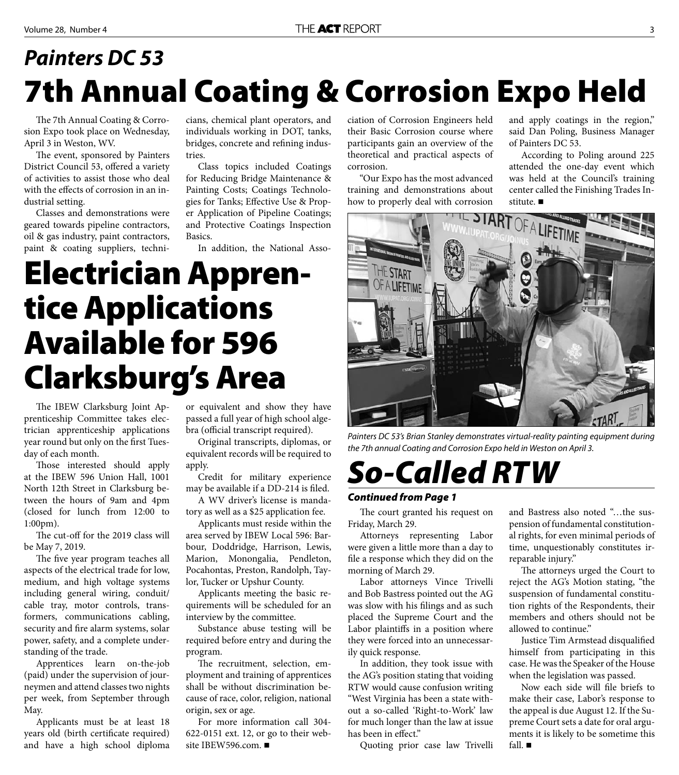#### **Painters DC 53** *Painters DC 53***7th Annual Coating & Corrosion Expo Held**

The 7th Annual Coating & Corrosion Expo took place on Wednesday, April 3 in Weston, WV.

The event, sponsored by Painters District Council 53, offered a variety of activities to assist those who deal with the effects of corrosion in an industrial setting.

Classes and demonstrations were geared towards pipeline contractors, oil & gas industry, paint contractors, paint & coating suppliers, technicians, chemical plant operators, and individuals working in DOT, tanks, bridges, concrete and refining industries.

Class topics included Coatings for Reducing Bridge Maintenance & Painting Costs; Coatings Technologies for Tanks; Effective Use & Proper Application of Pipeline Coatings; and Protective Coatings Inspection Basics.

In addition, the National Asso-

## **Electrician Apprentice Applications Available for 596 Clarksburg's Area**

The IBEW Clarksburg Joint Apprenticeship Committee takes electrician apprenticeship applications year round but only on the first Tuesday of each month.

Those interested should apply at the IBEW 596 Union Hall, 1001 North 12th Street in Clarksburg between the hours of 9am and 4pm (closed for lunch from 12:00 to 1:00pm).

The cut-off for the 2019 class will be May 7, 2019.

The five year program teaches all aspects of the electrical trade for low, medium, and high voltage systems including general wiring, conduit/ cable tray, motor controls, transformers, communications cabling, security and fire alarm systems, solar power, safety, and a complete understanding of the trade.

Apprentices learn on-the-job (paid) under the supervision of journeymen and attend classes two nights per week, from September through May.

Applicants must be at least 18 years old (birth certificate required) and have a high school diploma or equivalent and show they have passed a full year of high school algebra (official transcript required).

Original transcripts, diplomas, or equivalent records will be required to apply.

Credit for military experience may be available if a DD-214 is filed.

A WV driver's license is mandatory as well as a \$25 application fee.

Applicants must reside within the area served by IBEW Local 596: Barbour, Doddridge, Harrison, Lewis, Marion, Monongalia, Pendleton, Pocahontas, Preston, Randolph, Taylor, Tucker or Upshur County.

Applicants meeting the basic requirements will be scheduled for an interview by the committee.

Substance abuse testing will be required before entry and during the program.

The recruitment, selection, employment and training of apprentices shall be without discrimination because of race, color, religion, national origin, sex or age.

For more information call 304- 622-0151 ext. 12, or go to their website IBEW596.com. ■

ciation of Corrosion Engineers held their Basic Corrosion course where participants gain an overview of the theoretical and practical aspects of corrosion.

"Our Expo has the most advanced training and demonstrations about how to properly deal with corrosion

and apply coatings in the region," said Dan Poling, Business Manager of Painters DC 53.

According to Poling around 225 attended the one-day event which was held at the Council's training center called the Finishing Trades Institute. ■



*Painters DC 53's Brian Stanley demonstrates virtual-reality painting equipment during the 7th annual Coating and Corrosion Expo held in Weston on April 3.*

### *So-Called RTW*

#### *Continued from Page 1*

The court granted his request on Friday, March 29.

Attorneys representing Labor were given a little more than a day to file a response which they did on the morning of March 29.

Labor attorneys Vince Trivelli and Bob Bastress pointed out the AG was slow with his filings and as such placed the Supreme Court and the Labor plaintiffs in a position where they were forced into an unnecessarily quick response.

In addition, they took issue with the AG's position stating that voiding RTW would cause confusion writing "West Virginia has been a state without a so-called 'Right-to-Work' law for much longer than the law at issue has been in effect."

Quoting prior case law Trivelli

and Bastress also noted "…the suspension of fundamental constitutional rights, for even minimal periods of time, unquestionably constitutes irreparable injury."

The attorneys urged the Court to reject the AG's Motion stating, "the suspension of fundamental constitution rights of the Respondents, their members and others should not be allowed to continue"

Justice Tim Armstead disqualified himself from participating in this case. He was the Speaker of the House when the legislation was passed.

Now each side will file briefs to make their case, Labor's response to the appeal is due August 12. If the Supreme Court sets a date for oral arguments it is likely to be sometime this fall.